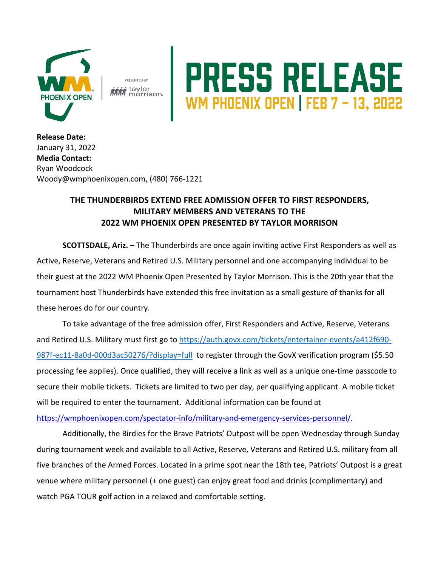

PRESENTED BY i taylor morrison.

## PRESS RELEASE

**Release Date:**  January 31, 2022 **Media Contact:** Ryan Woodcock Woody@wmphoenixopen.com, (480) 766-1221

## **THE THUNDERBIRDS EXTEND FREE ADMISSION OFFER TO FIRST RESPONDERS, MILITARY MEMBERS AND VETERANS TO THE 2022 WM PHOENIX OPEN PRESENTED BY TAYLOR MORRISON**

**SCOTTSDALE, Ariz.** – The Thunderbirds are once again inviting active First Responders as well as Active, Reserve, Veterans and Retired U.S. Military personnel and one accompanying individual to be their guest at the 2022 WM Phoenix Open Presented by Taylor Morrison. This is the 20th year that the tournament host Thunderbirds have extended this free invitation as a small gesture of thanks for all these heroes do for our country.

To take advantage of the free admission offer, First Responders and Active, Reserve, Veterans and Retired U.S. Military must first go to https://auth.govx.com/tickets/entertainer-events/a412f690- 987f-ec11-8a0d-000d3ac50276/?display=full to register through the GovX verification program (\$5.50 processing fee applies). Once qualified, they will receive a link as well as a unique one-time passcode to secure their mobile tickets. Tickets are limited to two per day, per qualifying applicant. A mobile ticket will be required to enter the tournament. Additional information can be found at https://wmphoenixopen.com/spectator-info/military-and-emergency-services-personnel/.

Additionally, the Birdies for the Brave Patriots' Outpost will be open Wednesday through Sunday during tournament week and available to all Active, Reserve, Veterans and Retired U.S. military from all five branches of the Armed Forces. Located in a prime spot near the 18th tee, Patriots' Outpost is a great venue where military personnel (+ one guest) can enjoy great food and drinks (complimentary) and watch PGA TOUR golf action in a relaxed and comfortable setting.